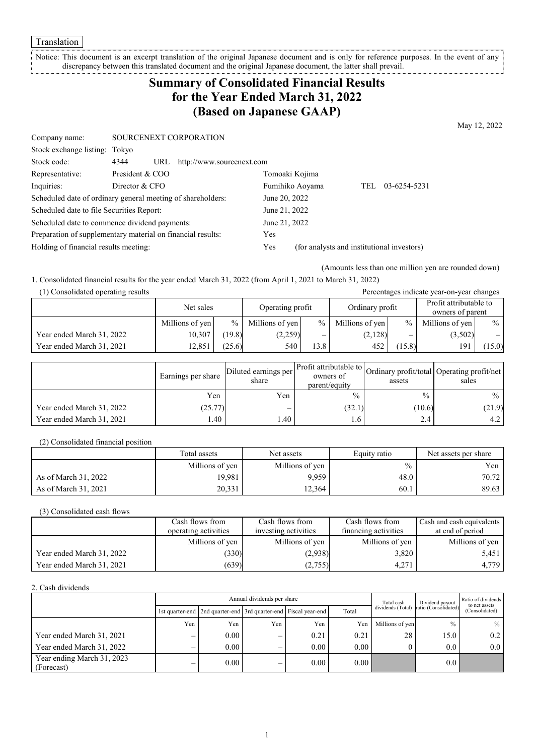Translation

#### Notice: This document is an excerpt translation of the original Japanese document and is only for reference purposes. In the event of any discrepancy between this translated document and the original Japanese document, the latter shall prevail. -------

# **Summary of Consolidated Financial Results for the Year Ended March 31, 2022 (Based on Japanese GAAP)**

May 12, 2022

| Company name:                             | SOURCENEXT CORPORATION                                      |                                                   |  |  |  |
|-------------------------------------------|-------------------------------------------------------------|---------------------------------------------------|--|--|--|
| Stock exchange listing: Tokyo             |                                                             |                                                   |  |  |  |
| Stock code:                               | 4344<br>http://www.sourcenext.com<br>URL                    |                                                   |  |  |  |
| Representative:                           | President & COO                                             | Tomoaki Kojima                                    |  |  |  |
| Inquiries:                                | Director & CFO                                              | 03-6254-5231<br>Fumihiko Aoyama<br>TEL            |  |  |  |
|                                           | Scheduled date of ordinary general meeting of shareholders: | June 20, 2022                                     |  |  |  |
| Scheduled date to file Securities Report: |                                                             | June 21, 2022                                     |  |  |  |
|                                           | Scheduled date to commence dividend payments:               | June 21, 2022                                     |  |  |  |
|                                           | Preparation of supplementary material on financial results: | Yes                                               |  |  |  |
| Holding of financial results meeting:     |                                                             | (for analysts and institutional investors)<br>Yes |  |  |  |

(Amounts less than one million yen are rounded down)

1. Consolidated financial results for the year ended March 31, 2022 (from April 1, 2021 to March 31, 2022)

| (1) Consolidated operating results |                 |                               |                 |                          |                 |                                            | Percentages indicate year-on-year changes |      |
|------------------------------------|-----------------|-------------------------------|-----------------|--------------------------|-----------------|--------------------------------------------|-------------------------------------------|------|
|                                    |                 | Operating profit<br>Net sales |                 | Ordinary profit          |                 | Profit attributable to<br>owners of parent |                                           |      |
|                                    | Millions of yen | $\frac{0}{0}$                 | Millions of yen | $\frac{9}{6}$ 1          | Millions of yen | $\%$                                       | Millions of yen                           | $\%$ |
| Year ended March 31, 2022          | 10,307          | (19.8)                        | (2,259)         | $\overline{\phantom{0}}$ | (2,128)         | —                                          | (3,502)                                   |      |
| Year ended March 31, 2021          | 12,851          | (25.6)                        | 540             | 13.8                     | 452             | 15.8)                                      | 191                                       | 15.0 |

|                           | Earnings per share | Diluted earnings per  <br>share | parent/equity   | assets        | Ner Profit attributable to Ordinary profit/total Operating profit/net '<br>sales |
|---------------------------|--------------------|---------------------------------|-----------------|---------------|----------------------------------------------------------------------------------|
|                           | Yen                | Yen                             | $\frac{0}{0}$   | $\frac{0}{0}$ | $\frac{0}{0}$                                                                    |
| Year ended March 31, 2022 | (25.77)            | –                               | (32.1)          | (10.6)        | (21.9)                                                                           |
| Year ended March 31, 2021 | l.40               | .40                             | .6 <sub>1</sub> | 2.4           | 4.2                                                                              |

(2) Consolidated financial position

|                      | Total assets    | Net assets      | Equity ratio  | Net assets per share |
|----------------------|-----------------|-----------------|---------------|----------------------|
|                      | Millions of yen | Millions of yen | $\frac{0}{0}$ | Yen l                |
| As of March 31, 2022 | 19,981          | 9,959           | 48.0          | 70.72                |
| As of March 31, 2021 | 20,331          | 12,364          | 60.1          | 89.63                |

(3) Consolidated cash flows

|                           | Cash flows from      | Cash flows from      | Cash flows from      | Cash and cash equivalents |
|---------------------------|----------------------|----------------------|----------------------|---------------------------|
|                           | operating activities | investing activities | financing activities | at end of period          |
|                           | Millions of yen      | Millions of yen      | Millions of yen      | Millions of yen           |
| Year ended March 31, 2022 | (330)                | (2,938)              | 3,820                | 5,451                     |
| Year ended March 31, 2021 | (639)                | (2,755)              | 4,271                | 4,779                     |

2. Cash dividends

|                                          | Annual dividends per share |                                                                 |     |      |          |                   | Dividend payout      | Ratio of dividends<br>to net assets |
|------------------------------------------|----------------------------|-----------------------------------------------------------------|-----|------|----------|-------------------|----------------------|-------------------------------------|
|                                          |                            | 1st quarter-end 2nd quarter-end 3rd quarter-end Fiscal year-end |     |      | Total    | dividends (Total) | ratio (Consolidated) | (Consolidated)                      |
|                                          | Yen                        | Yen                                                             | Yen | Yen  | Yen      | Millions of yen   | $\frac{0}{0}$        | $%$                                 |
| Year ended March 31, 2021                |                            | 0.00                                                            | –   | 0.21 | 0.21     | 28                | 15.0                 | 0.2                                 |
| Year ended March 31, 2022                |                            | 0.00                                                            |     | 0.00 | 0.00     |                   | 0.0                  | 0.0                                 |
| Year ending March 31, 2023<br>(Forecast) |                            | 0.00                                                            | –   | 0.00 | $0.00\,$ |                   | 0.0                  |                                     |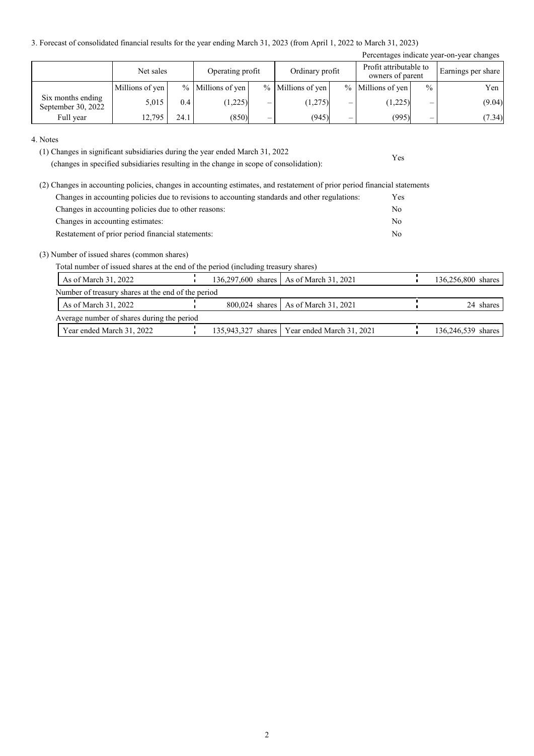3. Forecast of consolidated financial results for the year ending March 31, 2023 (from April 1, 2022 to March 31, 2023)

| Percentages indicate year-on-year changes |                 |      |                     |   |                   |   |                                            |               |                    |
|-------------------------------------------|-----------------|------|---------------------|---|-------------------|---|--------------------------------------------|---------------|--------------------|
|                                           | Net sales       |      | Operating profit    |   | Ordinary profit   |   | Profit attributable to<br>owners of parent |               | Earnings per share |
|                                           | Millions of yen |      | $%$ Millions of yen |   | % Millions of yen |   | $%$ Millions of yen                        | $\frac{0}{0}$ | Yen                |
| Six months ending<br>September 30, 2022   | 5.015           | 0.4  | (1,225)             | – | (1,275)           | - | (1,225)                                    | –             | (9.04)             |
| Full year                                 | 12,795          | 24.1 | (850)               | – | (945)             | — | (995)                                      | _             | (7.34)             |

Yes

#### 4. Notes

(1) Changes in significant subsidiaries during the year ended March 31, 2022

(changes in specified subsidiaries resulting in the change in scope of consolidation):

| (2) Changes in accounting policies, changes in accounting estimates, and restatement of prior period financial statements |            |
|---------------------------------------------------------------------------------------------------------------------------|------------|
| Changes in accounting policies due to revisions to accounting standards and other regulations:                            | <b>Yes</b> |
| Changes in accounting policies due to other reasons:                                                                      | No         |
| Changes in accounting estimates:                                                                                          | No         |
| Restatement of prior period financial statements:                                                                         | No         |

### (3) Number of issued shares (common shares)

Total number of issued shares at the end of the period (including treasury shares)

| As of March 31, 2022                               |  | 136,297,600 shares   As of March 31, 2021      | 136,256,800 shares |
|----------------------------------------------------|--|------------------------------------------------|--------------------|
| Number of treasury shares at the end of the period |  |                                                |                    |
| As of March 31, 2022                               |  | 800,024 shares   As of March 31, 2021          | 24 shares          |
| Average number of shares during the period         |  |                                                |                    |
| Year ended March 31, 2022                          |  | 135,943,327 shares   Year ended March 31, 2021 | 136,246,539 shares |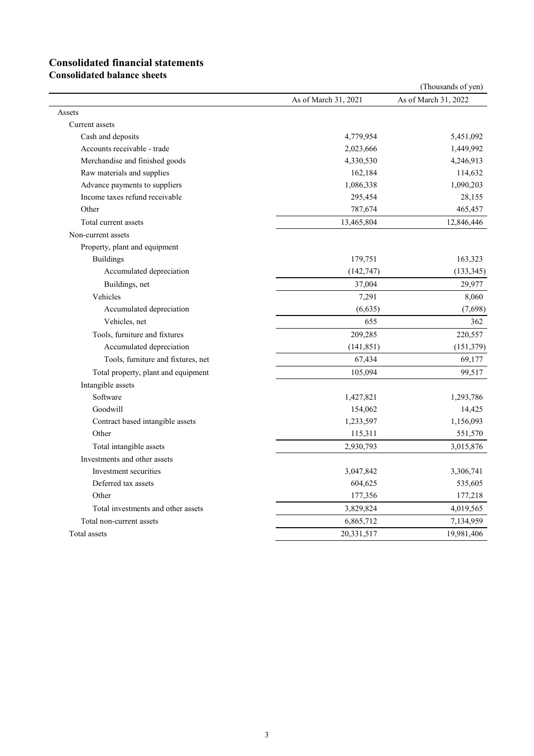# **Consolidated financial statements**

**Consolidated balance sheets**

|                                     |                      | (Thousands of yen)   |
|-------------------------------------|----------------------|----------------------|
|                                     | As of March 31, 2021 | As of March 31, 2022 |
| Assets                              |                      |                      |
| Current assets                      |                      |                      |
| Cash and deposits                   | 4,779,954            | 5,451,092            |
| Accounts receivable - trade         | 2,023,666            | 1,449,992            |
| Merchandise and finished goods      | 4,330,530            | 4,246,913            |
| Raw materials and supplies          | 162,184              | 114,632              |
| Advance payments to suppliers       | 1,086,338            | 1,090,203            |
| Income taxes refund receivable      | 295,454              | 28,155               |
| Other                               | 787,674              | 465,457              |
| Total current assets                | 13,465,804           | 12,846,446           |
| Non-current assets                  |                      |                      |
| Property, plant and equipment       |                      |                      |
| <b>Buildings</b>                    | 179,751              | 163,323              |
| Accumulated depreciation            | (142, 747)           | (133, 345)           |
| Buildings, net                      | 37,004               | 29,977               |
| Vehicles                            | 7,291                | 8,060                |
| Accumulated depreciation            | (6,635)              | (7,698)              |
| Vehicles, net                       | 655                  | 362                  |
| Tools, furniture and fixtures       | 209,285              | 220,557              |
| Accumulated depreciation            | (141, 851)           | (151, 379)           |
| Tools, furniture and fixtures, net  | 67,434               | 69,177               |
| Total property, plant and equipment | 105,094              | 99,517               |
| Intangible assets                   |                      |                      |
| Software                            | 1,427,821            | 1,293,786            |
| Goodwill                            | 154,062              | 14,425               |
| Contract based intangible assets    | 1,233,597            | 1,156,093            |
| Other                               | 115,311              | 551,570              |
| Total intangible assets             | 2,930,793            | 3,015,876            |
| Investments and other assets        |                      |                      |
| Investment securities               | 3,047,842            | 3,306,741            |
| Deferred tax assets                 | 604,625              | 535,605              |
| Other                               | 177,356              | 177,218              |
| Total investments and other assets  | 3,829,824            | 4,019,565            |
| Total non-current assets            | 6,865,712            | 7,134,959            |
| Total assets                        | 20,331,517           | 19,981,406           |
|                                     |                      |                      |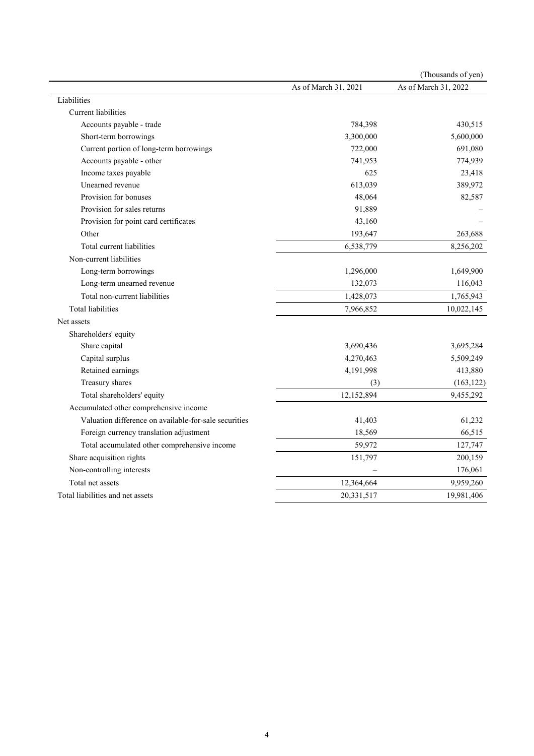|                                                       |                      | (Thousands of yen)   |
|-------------------------------------------------------|----------------------|----------------------|
|                                                       | As of March 31, 2021 | As of March 31, 2022 |
| Liabilities                                           |                      |                      |
| <b>Current</b> liabilities                            |                      |                      |
| Accounts payable - trade                              | 784,398              | 430,515              |
| Short-term borrowings                                 | 3,300,000            | 5,600,000            |
| Current portion of long-term borrowings               | 722,000              | 691,080              |
| Accounts payable - other                              | 741,953              | 774,939              |
| Income taxes payable                                  | 625                  | 23,418               |
| Unearned revenue                                      | 613,039              | 389,972              |
| Provision for bonuses                                 | 48,064               | 82,587               |
| Provision for sales returns                           | 91,889               |                      |
| Provision for point card certificates                 | 43,160               |                      |
| Other                                                 | 193,647              | 263,688              |
| Total current liabilities                             | 6,538,779            | 8,256,202            |
| Non-current liabilities                               |                      |                      |
| Long-term borrowings                                  | 1,296,000            | 1,649,900            |
| Long-term unearned revenue                            | 132,073              | 116,043              |
| Total non-current liabilities                         | 1,428,073            | 1,765,943            |
| <b>Total liabilities</b>                              | 7,966,852            | 10,022,145           |
| Net assets                                            |                      |                      |
| Shareholders' equity                                  |                      |                      |
| Share capital                                         | 3,690,436            | 3,695,284            |
| Capital surplus                                       | 4,270,463            | 5,509,249            |
| Retained earnings                                     | 4,191,998            | 413,880              |
| Treasury shares                                       | (3)                  | (163, 122)           |
| Total shareholders' equity                            | 12,152,894           | 9,455,292            |
| Accumulated other comprehensive income                |                      |                      |
| Valuation difference on available-for-sale securities | 41,403               | 61,232               |
| Foreign currency translation adjustment               | 18,569               | 66,515               |
| Total accumulated other comprehensive income          | 59,972               | 127,747              |
| Share acquisition rights                              | 151,797              | 200,159              |
| Non-controlling interests                             |                      | 176,061              |
| Total net assets                                      | 12,364,664           | 9,959,260            |
| Total liabilities and net assets                      | 20,331,517           | 19,981,406           |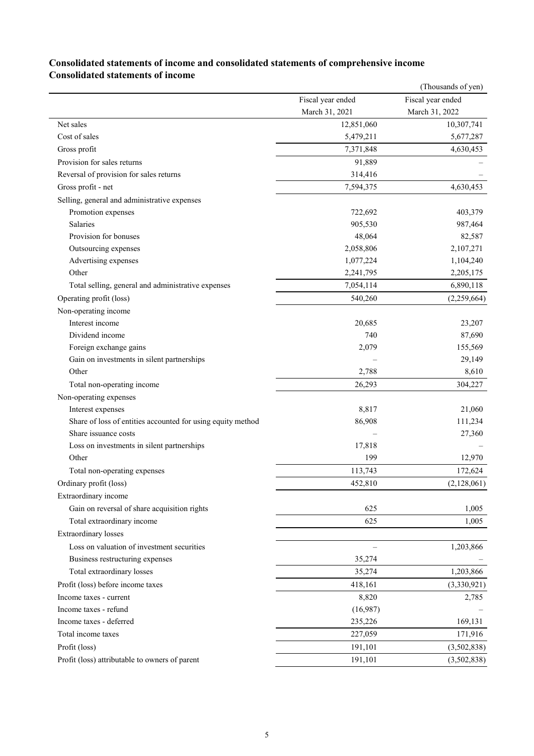|                                                             |                   | (Thousands of yen) |
|-------------------------------------------------------------|-------------------|--------------------|
|                                                             | Fiscal year ended | Fiscal year ended  |
|                                                             | March 31, 2021    | March 31, 2022     |
| Net sales                                                   | 12,851,060        | 10,307,741         |
| Cost of sales                                               | 5,479,211         | 5,677,287          |
| Gross profit                                                | 7,371,848         | 4,630,453          |
| Provision for sales returns                                 | 91,889            |                    |
| Reversal of provision for sales returns                     | 314,416           |                    |
| Gross profit - net                                          | 7,594,375         | 4,630,453          |
| Selling, general and administrative expenses                |                   |                    |
| Promotion expenses                                          | 722,692           | 403,379            |
| Salaries                                                    | 905,530           | 987,464            |
| Provision for bonuses                                       | 48,064            | 82,587             |
| Outsourcing expenses                                        | 2,058,806         | 2,107,271          |
| Advertising expenses                                        | 1,077,224         | 1,104,240          |
| Other                                                       | 2,241,795         | 2,205,175          |
| Total selling, general and administrative expenses          | 7,054,114         | 6,890,118          |
| Operating profit (loss)                                     | 540,260           | (2,259,664)        |
| Non-operating income                                        |                   |                    |
| Interest income                                             | 20,685            | 23,207             |
| Dividend income                                             | 740               | 87,690             |
| Foreign exchange gains                                      | 2,079             | 155,569            |
| Gain on investments in silent partnerships                  |                   | 29,149             |
| Other                                                       | 2,788             | 8,610              |
| Total non-operating income                                  | 26,293            | 304,227            |
| Non-operating expenses                                      |                   |                    |
| Interest expenses                                           | 8,817             | 21,060             |
| Share of loss of entities accounted for using equity method | 86,908            | 111,234            |
| Share issuance costs                                        |                   | 27,360             |
| Loss on investments in silent partnerships                  | 17,818            |                    |
| Other                                                       | 199               | 12,970             |
| Total non-operating expenses                                | 113,743           | 172,624            |
| Ordinary profit (loss)                                      | 452,810           | (2,128,061)        |
| Extraordinary income                                        |                   |                    |
| Gain on reversal of share acquisition rights                | 625               | 1,005              |
| Total extraordinary income                                  | 625               | 1,005              |
| <b>Extraordinary losses</b>                                 |                   |                    |
| Loss on valuation of investment securities                  |                   | 1,203,866          |
| Business restructuring expenses                             | 35,274            |                    |
| Total extraordinary losses                                  | 35,274            | 1,203,866          |
|                                                             |                   |                    |
| Profit (loss) before income taxes                           | 418,161           | (3,330,921)        |
| Income taxes - current                                      | 8,820             | 2,785              |
| Income taxes - refund                                       | (16,987)          |                    |
| Income taxes - deferred                                     | 235,226           | 169,131            |
| Total income taxes                                          | 227,059           | 171,916            |
| Profit (loss)                                               | 191,101           | (3,502,838)        |
| Profit (loss) attributable to owners of parent              | 191,101           | (3,502,838)        |

# **Consolidated statements of income and consolidated statements of comprehensive income Consolidated statements of income**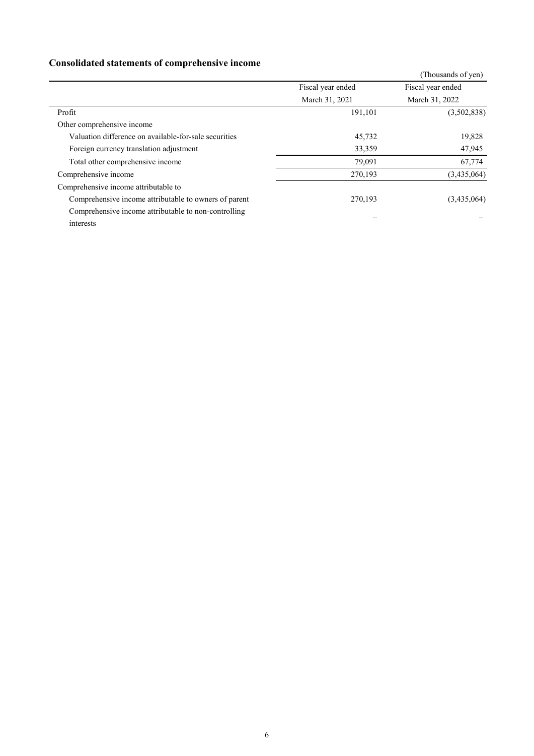# **Consolidated statements of comprehensive income**

| <u> 0110011 annou dencemento 01 compi encido , e medin</u> |                   |                    |
|------------------------------------------------------------|-------------------|--------------------|
|                                                            |                   | (Thousands of yen) |
|                                                            | Fiscal year ended | Fiscal year ended  |
|                                                            | March 31, 2021    | March 31, 2022     |
| Profit                                                     | 191,101           | (3,502,838)        |
| Other comprehensive income                                 |                   |                    |
| Valuation difference on available-for-sale securities      | 45,732            | 19,828             |
| Foreign currency translation adjustment                    | 33,359            | 47,945             |
| Total other comprehensive income                           | 79,091            | 67,774             |
| Comprehensive income                                       | 270,193           | (3,435,064)        |
| Comprehensive income attributable to                       |                   |                    |
| Comprehensive income attributable to owners of parent      | 270,193           | (3,435,064)        |
| Comprehensive income attributable to non-controlling       |                   |                    |
| interests                                                  |                   |                    |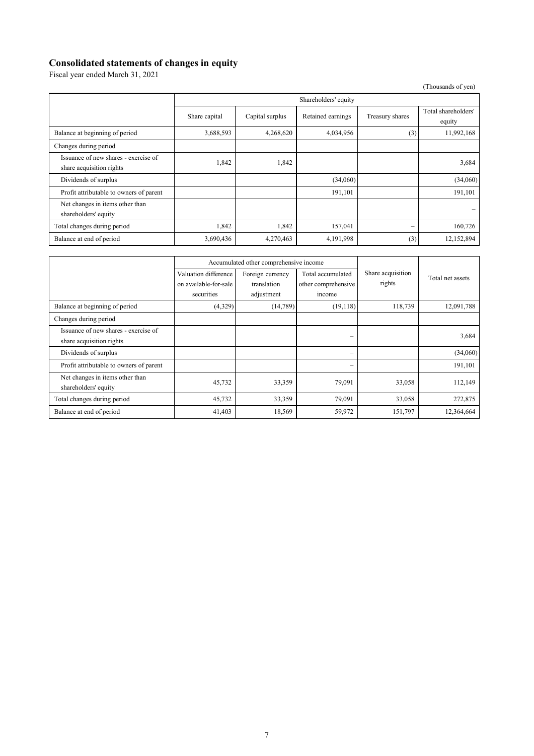### **Consolidated statements of changes in equity**

Fiscal year ended March 31, 2021

(Thousands of yen)

|                                                                  | Shareholders' equity |                 |                   |                 |                               |  |
|------------------------------------------------------------------|----------------------|-----------------|-------------------|-----------------|-------------------------------|--|
|                                                                  | Share capital        | Capital surplus | Retained earnings | Treasury shares | Total shareholders'<br>equity |  |
| Balance at beginning of period                                   | 3,688,593            | 4,268,620       | 4,034,956         | (3)             | 11,992,168                    |  |
| Changes during period                                            |                      |                 |                   |                 |                               |  |
| Issuance of new shares - exercise of<br>share acquisition rights | 1,842                | 1,842           |                   |                 | 3,684                         |  |
| Dividends of surplus                                             |                      |                 | (34,060)          |                 | (34,060)                      |  |
| Profit attributable to owners of parent                          |                      |                 | 191,101           |                 | 191,101                       |  |
| Net changes in items other than<br>shareholders' equity          |                      |                 |                   |                 |                               |  |
| Total changes during period                                      | 1,842                | 1,842           | 157,041           |                 | 160,726                       |  |
| Balance at end of period                                         | 3,690,436            | 4,270,463       | 4,191,998         | (3)             | 12,152,894                    |  |

|                                                                  | Accumulated other comprehensive income        |                                 |                                          |                             |                  |
|------------------------------------------------------------------|-----------------------------------------------|---------------------------------|------------------------------------------|-----------------------------|------------------|
|                                                                  | Valuation difference<br>on available-for-sale | Foreign currency<br>translation | Total accumulated<br>other comprehensive | Share acquisition<br>rights | Total net assets |
|                                                                  | securities                                    | adjustment                      | income                                   |                             |                  |
| Balance at beginning of period                                   | (4,329)                                       | (14,789)                        | (19,118)                                 | 118,739                     | 12,091,788       |
| Changes during period                                            |                                               |                                 |                                          |                             |                  |
| Issuance of new shares - exercise of<br>share acquisition rights |                                               |                                 | $\overline{\phantom{0}}$                 |                             | 3,684            |
| Dividends of surplus                                             |                                               |                                 | $\overline{\phantom{m}}$                 |                             | (34,060)         |
| Profit attributable to owners of parent                          |                                               |                                 |                                          |                             | 191,101          |
| Net changes in items other than<br>shareholders' equity          | 45,732                                        | 33,359                          | 79,091                                   | 33,058                      | 112,149          |
| Total changes during period                                      | 45,732                                        | 33,359                          | 79,091                                   | 33,058                      | 272,875          |
| Balance at end of period                                         | 41,403                                        | 18,569                          | 59,972                                   | 151,797                     | 12,364,664       |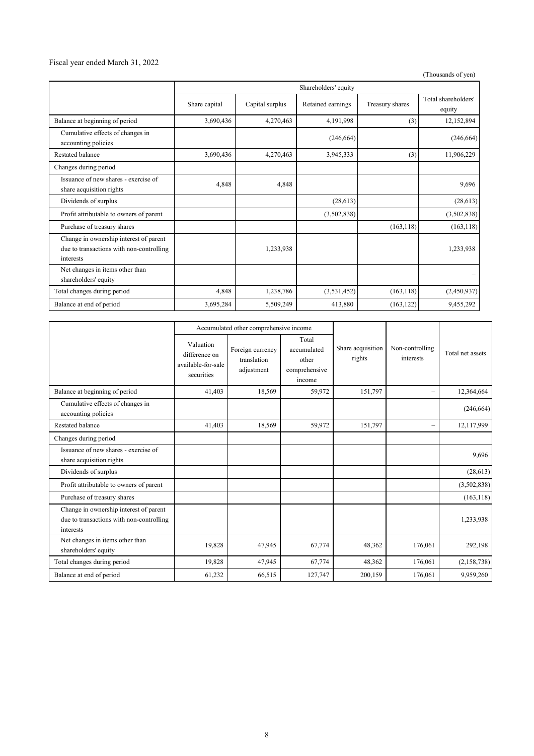## Fiscal year ended March 31, 2022

(Thousands of yen)

|                                                                                                 | Shareholders' equity |                 |                   |                 |                               |  |
|-------------------------------------------------------------------------------------------------|----------------------|-----------------|-------------------|-----------------|-------------------------------|--|
|                                                                                                 | Share capital        | Capital surplus | Retained earnings | Treasury shares | Total shareholders'<br>equity |  |
| Balance at beginning of period                                                                  | 3,690,436            | 4,270,463       | 4,191,998         | (3)             | 12,152,894                    |  |
| Cumulative effects of changes in<br>accounting policies                                         |                      |                 | (246, 664)        |                 | (246, 664)                    |  |
| <b>Restated balance</b>                                                                         | 3,690,436            | 4,270,463       | 3,945,333         | (3)             | 11,906,229                    |  |
| Changes during period                                                                           |                      |                 |                   |                 |                               |  |
| Issuance of new shares - exercise of<br>share acquisition rights                                | 4,848                | 4,848           |                   |                 | 9,696                         |  |
| Dividends of surplus                                                                            |                      |                 | (28, 613)         |                 | (28, 613)                     |  |
| Profit attributable to owners of parent                                                         |                      |                 | (3,502,838)       |                 | (3,502,838)                   |  |
| Purchase of treasury shares                                                                     |                      |                 |                   | (163, 118)      | (163, 118)                    |  |
| Change in ownership interest of parent<br>due to transactions with non-controlling<br>interests |                      | 1,233,938       |                   |                 | 1,233,938                     |  |
| Net changes in items other than<br>shareholders' equity                                         |                      |                 |                   |                 |                               |  |
| Total changes during period                                                                     | 4,848                | 1,238,786       | (3,531,452)       | (163, 118)      | (2,450,937)                   |  |
| Balance at end of period                                                                        | 3,695,284            | 5,509,249       | 413,880           | (163, 122)      | 9,455,292                     |  |

|                                                                                                 | Accumulated other comprehensive income                         |                                               |                                                          |                             |                              |                  |
|-------------------------------------------------------------------------------------------------|----------------------------------------------------------------|-----------------------------------------------|----------------------------------------------------------|-----------------------------|------------------------------|------------------|
|                                                                                                 | Valuation<br>difference on<br>available-for-sale<br>securities | Foreign currency<br>translation<br>adjustment | Total<br>accumulated<br>other<br>comprehensive<br>income | Share acquisition<br>rights | Non-controlling<br>interests | Total net assets |
| Balance at beginning of period                                                                  | 41,403                                                         | 18,569                                        | 59,972                                                   | 151,797                     |                              | 12,364,664       |
| Cumulative effects of changes in<br>accounting policies                                         |                                                                |                                               |                                                          |                             |                              | (246, 664)       |
| Restated balance                                                                                | 41,403                                                         | 18,569                                        | 59,972                                                   | 151,797                     |                              | 12,117,999       |
| Changes during period                                                                           |                                                                |                                               |                                                          |                             |                              |                  |
| Issuance of new shares - exercise of<br>share acquisition rights                                |                                                                |                                               |                                                          |                             |                              | 9,696            |
| Dividends of surplus                                                                            |                                                                |                                               |                                                          |                             |                              | (28,613)         |
| Profit attributable to owners of parent                                                         |                                                                |                                               |                                                          |                             |                              | (3,502,838)      |
| Purchase of treasury shares                                                                     |                                                                |                                               |                                                          |                             |                              | (163, 118)       |
| Change in ownership interest of parent<br>due to transactions with non-controlling<br>interests |                                                                |                                               |                                                          |                             |                              | 1,233,938        |
| Net changes in items other than<br>shareholders' equity                                         | 19,828                                                         | 47,945                                        | 67,774                                                   | 48,362                      | 176,061                      | 292,198          |
| Total changes during period                                                                     | 19,828                                                         | 47,945                                        | 67,774                                                   | 48,362                      | 176,061                      | (2,158,738)      |
| Balance at end of period                                                                        | 61,232                                                         | 66,515                                        | 127,747                                                  | 200,159                     | 176,061                      | 9,959,260        |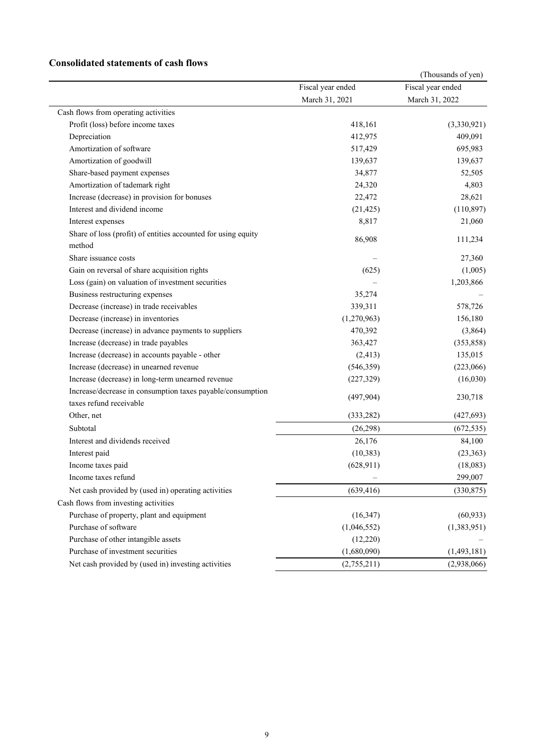## **Consolidated statements of cash flows**

|                                                                         |                   | (Thousands of yen) |
|-------------------------------------------------------------------------|-------------------|--------------------|
|                                                                         | Fiscal year ended | Fiscal year ended  |
|                                                                         | March 31, 2021    | March 31, 2022     |
| Cash flows from operating activities                                    |                   |                    |
| Profit (loss) before income taxes                                       | 418,161           | (3,330,921)        |
| Depreciation                                                            | 412,975           | 409,091            |
| Amortization of software                                                | 517,429           | 695,983            |
| Amortization of goodwill                                                | 139,637           | 139,637            |
| Share-based payment expenses                                            | 34,877            | 52,505             |
| Amortization of tademark right                                          | 24,320            | 4,803              |
| Increase (decrease) in provision for bonuses                            | 22,472            | 28,621             |
| Interest and dividend income                                            | (21, 425)         | (110, 897)         |
| Interest expenses                                                       | 8,817             | 21,060             |
| Share of loss (profit) of entities accounted for using equity<br>method | 86,908            | 111,234            |
| Share issuance costs                                                    |                   | 27,360             |
| Gain on reversal of share acquisition rights                            | (625)             | (1,005)            |
| Loss (gain) on valuation of investment securities                       |                   | 1,203,866          |
| Business restructuring expenses                                         | 35,274            |                    |
| Decrease (increase) in trade receivables                                | 339,311           | 578,726            |
| Decrease (increase) in inventories                                      | (1,270,963)       | 156,180            |
| Decrease (increase) in advance payments to suppliers                    | 470,392           | (3,864)            |
| Increase (decrease) in trade payables                                   | 363,427           | (353, 858)         |
| Increase (decrease) in accounts payable - other                         | (2, 413)          | 135,015            |
| Increase (decrease) in unearned revenue                                 | (546, 359)        | (223,066)          |
| Increase (decrease) in long-term unearned revenue                       | (227, 329)        | (16,030)           |
| Increase/decrease in consumption taxes payable/consumption              |                   |                    |
| taxes refund receivable                                                 | (497,904)         | 230,718            |
| Other, net                                                              | (333, 282)        | (427, 693)         |
| Subtotal                                                                | (26, 298)         | (672, 535)         |
| Interest and dividends received                                         | 26,176            | 84,100             |
| Interest paid                                                           | (10, 383)         | (23, 363)          |
| Income taxes paid                                                       | (628, 911)        | (18,083)           |
| Income taxes refund                                                     | ÷                 | 299,007            |
| Net cash provided by (used in) operating activities                     | (639, 416)        | (330, 875)         |
| Cash flows from investing activities                                    |                   |                    |
| Purchase of property, plant and equipment                               | (16, 347)         | (60, 933)          |
| Purchase of software                                                    | (1,046,552)       | (1,383,951)        |
| Purchase of other intangible assets                                     | (12,220)          |                    |
| Purchase of investment securities                                       | (1,680,090)       | (1,493,181)        |
| Net cash provided by (used in) investing activities                     | (2,755,211)       | (2,938,066)        |